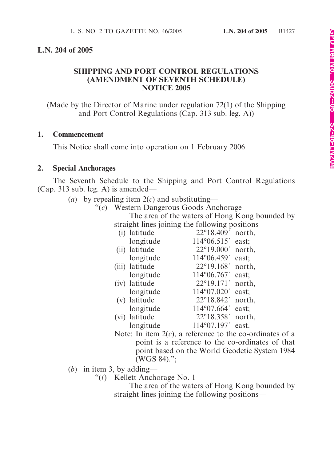#### **L.N. 204 of 2005**

### **SHIPPING AND PORT CONTROL REGULATIONS (AMENDMENT OF SEVENTH SCHEDULE) NOTICE 2005**

(Made by the Director of Marine under regulation 72(1) of the Shipping and Port Control Regulations (Cap. 313 sub. leg. A))

#### **1. Commencement**

This Notice shall come into operation on 1 February 2006.

#### **2. Special Anchorages**

The Seventh Schedule to the Shipping and Port Control Regulations (Cap. 313 sub. leg. A) is amended—

- (*a*) by repealing item 2(*c*) and substituting—
	- "(*c*) Western Dangerous Goods Anchorage

The area of the waters of Hong Kong bounded by straight lines joining the following positions—

| $\frac{1}{2}$ of $\frac{1}{2}$ and $\frac{1}{2}$ and $\frac{1}{2}$ and $\frac{1}{2}$ and $\frac{1}{2}$ and $\frac{1}{2}$ and $\frac{1}{2}$ and $\frac{1}{2}$ and $\frac{1}{2}$ and $\frac{1}{2}$ and $\frac{1}{2}$ and $\frac{1}{2}$ and $\frac{1}{2}$ and $\frac{1}{2}$ and $\frac{1}{2}$ an |                |                            |        |
|-----------------------------------------------------------------------------------------------------------------------------------------------------------------------------------------------------------------------------------------------------------------------------------------------|----------------|----------------------------|--------|
|                                                                                                                                                                                                                                                                                               | (i) latitude   | $22^{\circ}18.409'$ north, |        |
|                                                                                                                                                                                                                                                                                               | longitude      | $114^{\circ}06.515'$       | east;  |
|                                                                                                                                                                                                                                                                                               | (ii) latitude  | $22^{\circ}19.000'$        | north, |
|                                                                                                                                                                                                                                                                                               | longitude      | 114°06.459'                | east:  |
|                                                                                                                                                                                                                                                                                               | (iii) latitude | 22°19.168'                 | north, |
|                                                                                                                                                                                                                                                                                               | longitude      | 114°06.767'                | east;  |
|                                                                                                                                                                                                                                                                                               | (iv) latitude  | 22°19.171'                 | north, |
|                                                                                                                                                                                                                                                                                               | longitude      | 114°07.020'                | east;  |
|                                                                                                                                                                                                                                                                                               | (v) latitude   | 22°18.842'                 | north, |
|                                                                                                                                                                                                                                                                                               | longitude      | 114°07.664'                | east;  |
|                                                                                                                                                                                                                                                                                               | (vi) latitude  | 22°18.358'                 | north, |
|                                                                                                                                                                                                                                                                                               | longitude      | 114°07.197'                | east.  |
|                                                                                                                                                                                                                                                                                               |                |                            |        |

Note: In item 2(*c*), a reference to the co-ordinates of a point is a reference to the co-ordinates of that point based on the World Geodetic System 1984 (WGS 84).";

- (*b*) in item 3, by adding—
	- "(*i*) Kellett Anchorage No. 1

The area of the waters of Hong Kong bounded by straight lines joining the following positions—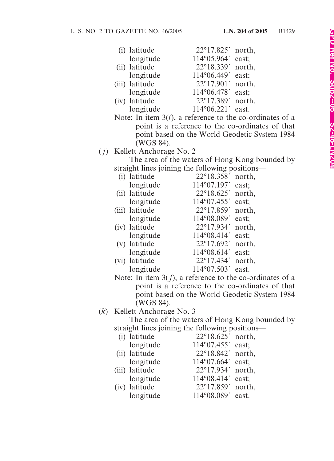| (i) latitude   | $22^{\circ}17.825'$ north, |       |
|----------------|----------------------------|-------|
| longitude      | 114°05.964' east;          |       |
| (ii) latitude  | 22°18.339' north,          |       |
| longitude      | 114°06.449′ east;          |       |
| (iii) latitude | $22^{\circ}17.901'$ north, |       |
| longitude      | 114°06.478'                | east; |
| (iv) latitude  | 22°17.389' north,          |       |
| longitude      | 114°06.221′ east.          |       |
|                |                            |       |

Note: In item 3(*i*), a reference to the co-ordinates of a point is a reference to the co-ordinates of that point based on the World Geodetic System 1984 (WGS 84).

( *j*) Kellett Anchorage No. 2

The area of the waters of Hong Kong bounded by straight lines joining the following positions—

| (i) latitude   | 22°18.358'  | north, |
|----------------|-------------|--------|
| longitude      | 114°07.197' | east;  |
| (ii) latitude  | 22°18.625   | north, |
| longitude      | 114°07.455' | east;  |
| (iii) latitude | 22°17.859'  | north, |
| longitude      | 114°08.089' | east;  |
| (iv) latitude  | 22°17.934'  | north, |
| longitude      | 114°08.414' | east;  |
| (v) latitude   | 22°17.692'  | north, |
| longitude      | 114°08.614' | east;  |
| (vi) latitude  | 22°17.434'  | north, |
| longitude      | 114°07.503' | east.  |

Note: In item 3( *j*), a reference to the co-ordinates of a point is a reference to the co-ordinates of that point based on the World Geodetic System 1984 (WGS 84).

## (*k*) Kellett Anchorage No. 3

The area of the waters of Hong Kong bounded by straight lines joining the following positions—

| (i) latitude   | 22°18.625' north,          |  |
|----------------|----------------------------|--|
| longitude      | 114°07.455' east;          |  |
| (ii) latitude  | $22^{\circ}18.842'$ north, |  |
| longitude      | 114°07.664' east;          |  |
| (iii) latitude | 22°17.934' north,          |  |
| longitude      | 114°08.414' east;          |  |
| (iv) latitude  | 22°17.859' north,          |  |
| longitude      | 114°08.089' east.          |  |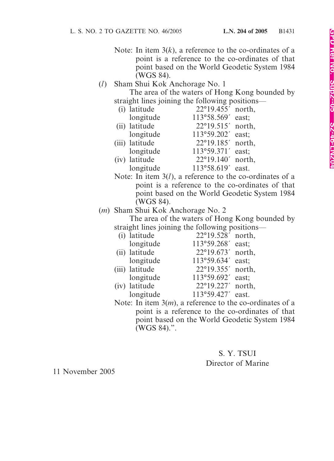- Note: In item  $3(k)$ , a reference to the co-ordinates of a point is a reference to the co-ordinates of that point based on the World Geodetic System 1984 (WGS 84).
- (*l*) Sham Shui Kok Anchorage No. 1 The area of the waters of Hong Kong bounded by

| straight lines joining the following positions— |                |                     |        |
|-------------------------------------------------|----------------|---------------------|--------|
|                                                 | (i) latitude   | 22°19.455' north,   |        |
|                                                 | longitude      | 113°58.569' east;   |        |
|                                                 | (ii) latitude  | 22°19.515' north,   |        |
|                                                 | longitude      | 113°59.202'         | east;  |
|                                                 | (iii) latitude | 22°19.185'          | north, |
|                                                 | longitude      | 113°59.371'         | east;  |
|                                                 | (iv) latitude  | $22^{\circ}19.140'$ | north, |
|                                                 | longitude      | 113°58.619'         | east.  |
|                                                 |                |                     |        |

- Note: In item 3(*l*), a reference to the co-ordinates of a point is a reference to the co-ordinates of that point based on the World Geodetic System 1984 (WGS 84).
- (*m*) Sham Shui Kok Anchorage No. 2

The area of the waters of Hong Kong bounded by straight lines joining the following positions—

| (i) latitude   | 22°19.528' north,          |  |
|----------------|----------------------------|--|
| longitude      | 113°59.268' east;          |  |
| (ii) latitude  | $22^{\circ}19.673'$ north, |  |
| longitude      | 113°59.634' east;          |  |
| (iii) latitude | 22°19.355' north,          |  |
| longitude      | 113°59.692' east;          |  |
| (iv) latitude  | 22°19.227' north,          |  |
| longitude      | 113°59.427' east.          |  |
|                |                            |  |

Note: In item 3(*m*), a reference to the co-ordinates of a point is a reference to the co-ordinates of that point based on the World Geodetic System 1984 (WGS 84).".

## S. Y. TSUI Director of Marine

11 November 2005